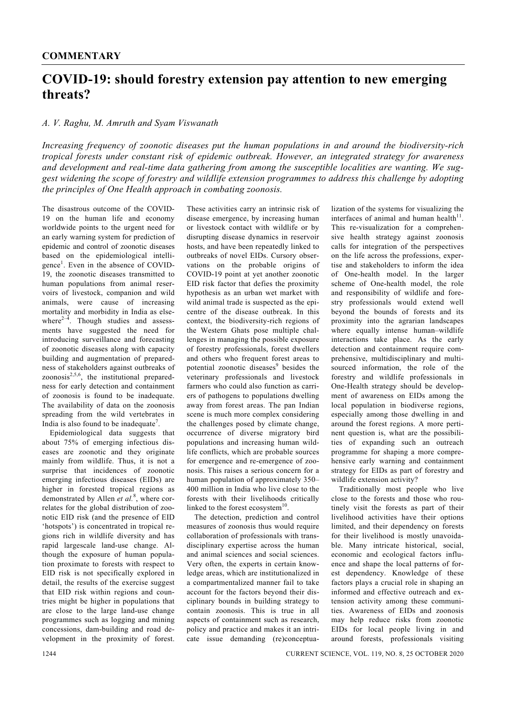## **COVID-19: should forestry extension pay attention to new emerging threats?**

## *A. V. Raghu, M. Amruth and Syam Viswanath*

*Increasing frequency of zoonotic diseases put the human populations in and around the biodiversity-rich tropical forests under constant risk of epidemic outbreak. However, an integrated strategy for awareness and development and real-time data gathering from among the susceptible localities are wanting. We suggest widening the scope of forestry and wildlife extension programmes to address this challenge by adopting the principles of One Health approach in combating zoonosis.* 

The disastrous outcome of the COVID-19 on the human life and economy worldwide points to the urgent need for an early warning system for prediction of epidemic and control of zoonotic diseases based on the epidemiological intelligence<sup>1</sup>. Even in the absence of COVID-19, the zoonotic diseases transmitted to human populations from animal reservoirs of livestock, companion and wild animals, were cause of increasing mortality and morbidity in India as elsewhere $2-4$ . Though studies and assessments have suggested the need for introducing surveillance and forecasting of zoonotic diseases along with capacity building and augmentation of preparedness of stakeholders against outbreaks of  $z$ oonosis $^{2,5,6}$ , the institutional preparedness for early detection and containment of zoonosis is found to be inadequate. The availability of data on the zoonosis spreading from the wild vertebrates in India is also found to be inadequate<sup>7</sup>.

 Epidemiological data suggests that about 75% of emerging infectious diseases are zoonotic and they originate mainly from wildlife. Thus, it is not a surprise that incidences of zoonotic emerging infectious diseases (EIDs) are higher in forested tropical regions as demonstrated by Allen *et al.*<sup>8</sup> , where correlates for the global distribution of zoonotic EID risk (and the presence of EID 'hotspots') is concentrated in tropical regions rich in wildlife diversity and has rapid largescale land-use change. Although the exposure of human population proximate to forests with respect to EID risk is not specifically explored in detail, the results of the exercise suggest that EID risk within regions and countries might be higher in populations that are close to the large land-use change programmes such as logging and mining concessions, dam-building and road development in the proximity of forest. These activities carry an intrinsic risk of disease emergence, by increasing human or livestock contact with wildlife or by disrupting disease dynamics in reservoir hosts, and have been repeatedly linked to outbreaks of novel EIDs. Cursory observations on the probable origins of COVID-19 point at yet another zoonotic EID risk factor that defies the proximity hypothesis as an urban wet market with wild animal trade is suspected as the epicentre of the disease outbreak. In this context, the biodiversity-rich regions of the Western Ghats pose multiple challenges in managing the possible exposure of forestry professionals, forest dwellers and others who frequent forest areas to potential zoonotic diseases<sup>9</sup> besides the veterinary professionals and livestock farmers who could also function as carriers of pathogens to populations dwelling away from forest areas. The pan Indian scene is much more complex considering the challenges posed by climate change, occurrence of diverse migratory bird populations and increasing human wildlife conflicts, which are probable sources for emergence and re-emergence of zoonosis. This raises a serious concern for a human population of approximately 350– 400 million in India who live close to the forests with their livelihoods critically linked to the forest ecosystem $10$ 

 The detection, prediction and control measures of zoonosis thus would require collaboration of professionals with transdisciplinary expertise across the human and animal sciences and social sciences. Very often, the experts in certain knowledge areas, which are institutionalized in a compartmentalized manner fail to take account for the factors beyond their disciplinary bounds in building strategy to contain zoonosis. This is true in all aspects of containment such as research, policy and practice and makes it an intricate issue demanding (re)conceptualization of the systems for visualizing the interfaces of animal and human health $11$ . This re-visualization for a comprehensive health strategy against zoonosis calls for integration of the perspectives on the life across the professions, expertise and stakeholders to inform the idea of One-health model. In the larger scheme of One-health model, the role and responsibility of wildlife and forestry professionals would extend well beyond the bounds of forests and its proximity into the agrarian landscapes where equally intense human–wildlife interactions take place. As the early detection and containment require comprehensive, multidisciplinary and multisourced information, the role of the forestry and wildlife professionals in One-Health strategy should be development of awareness on EIDs among the local population in biodiverse regions, especially among those dwelling in and around the forest regions. A more pertinent question is, what are the possibilities of expanding such an outreach programme for shaping a more comprehensive early warning and containment strategy for EIDs as part of forestry and wildlife extension activity?

 Traditionally most people who live close to the forests and those who routinely visit the forests as part of their livelihood activities have their options limited, and their dependency on forests for their livelihood is mostly unavoidable. Many intricate historical, social, economic and ecological factors influence and shape the local patterns of forest dependency. Knowledge of these factors plays a crucial role in shaping an informed and effective outreach and extension activity among these communities. Awareness of EIDs and zoonosis may help reduce risks from zoonotic EIDs for local people living in and around forests, professionals visiting

1244 CURRENT SCIENCE, VOL. 119, NO. 8, 25 OCTOBER 2020